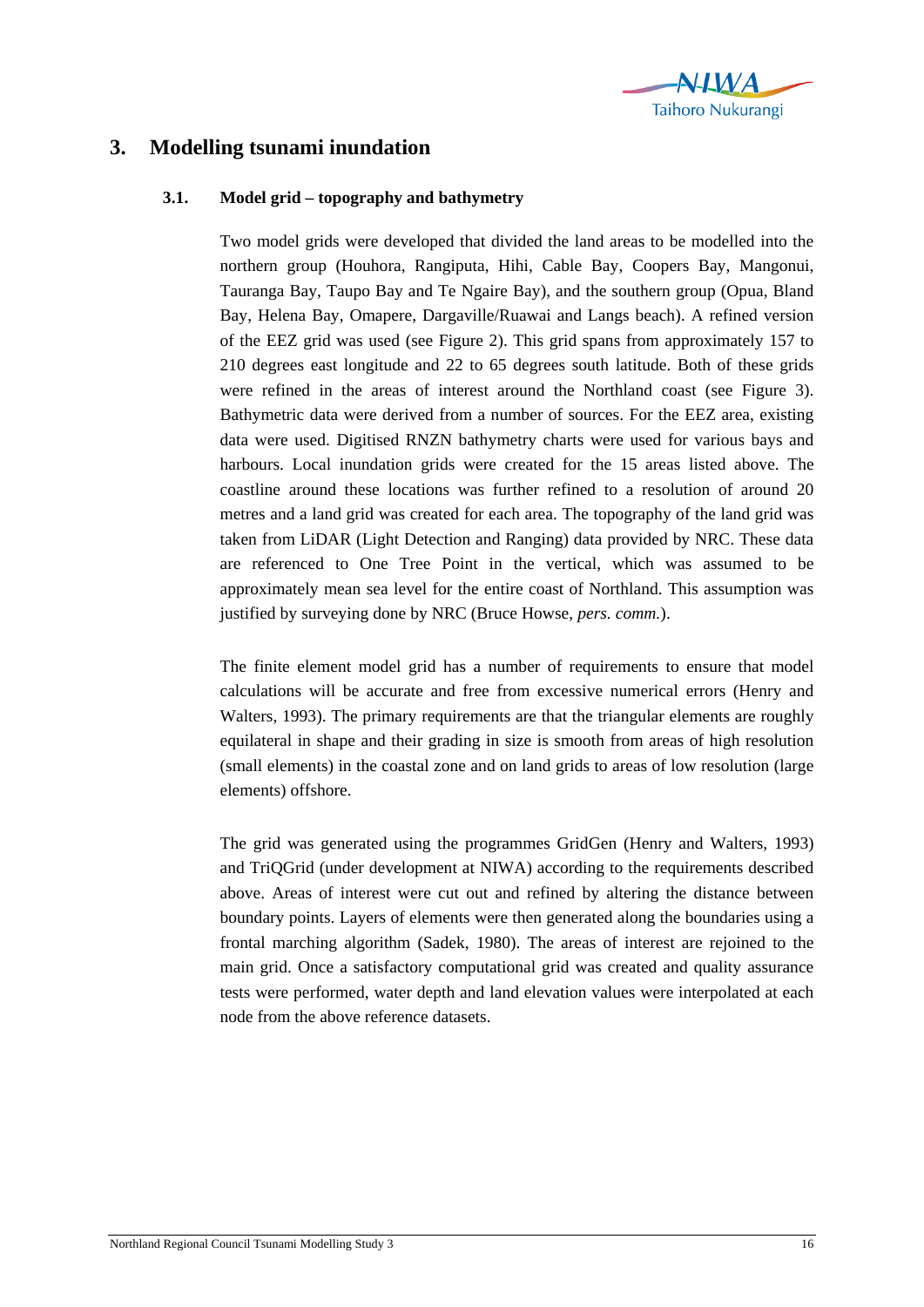

## **3. Modelling tsunami inundation**

## **3.1. Model grid – topography and bathymetry**

Two model grids were developed that divided the land areas to be modelled into the northern group (Houhora, Rangiputa, Hihi, Cable Bay, Coopers Bay, Mangonui, Tauranga Bay, Taupo Bay and Te Ngaire Bay), and the southern group (Opua, Bland Bay, Helena Bay, Omapere, Dargaville/Ruawai and Langs beach). A refined version of the EEZ grid was used (see Figure 2). This grid spans from approximately 157 to 210 degrees east longitude and 22 to 65 degrees south latitude. Both of these grids were refined in the areas of interest around the Northland coast (see Figure 3). Bathymetric data were derived from a number of sources. For the EEZ area, existing data were used. Digitised RNZN bathymetry charts were used for various bays and harbours. Local inundation grids were created for the 15 areas listed above. The coastline around these locations was further refined to a resolution of around 20 metres and a land grid was created for each area. The topography of the land grid was taken from LiDAR (Light Detection and Ranging) data provided by NRC. These data are referenced to One Tree Point in the vertical, which was assumed to be approximately mean sea level for the entire coast of Northland. This assumption was justified by surveying done by NRC (Bruce Howse, *pers. comm.*).

The finite element model grid has a number of requirements to ensure that model calculations will be accurate and free from excessive numerical errors (Henry and Walters, 1993). The primary requirements are that the triangular elements are roughly equilateral in shape and their grading in size is smooth from areas of high resolution (small elements) in the coastal zone and on land grids to areas of low resolution (large elements) offshore.

The grid was generated using the programmes GridGen (Henry and Walters, 1993) and TriQGrid (under development at NIWA) according to the requirements described above. Areas of interest were cut out and refined by altering the distance between boundary points. Layers of elements were then generated along the boundaries using a frontal marching algorithm (Sadek, 1980). The areas of interest are rejoined to the main grid. Once a satisfactory computational grid was created and quality assurance tests were performed, water depth and land elevation values were interpolated at each node from the above reference datasets.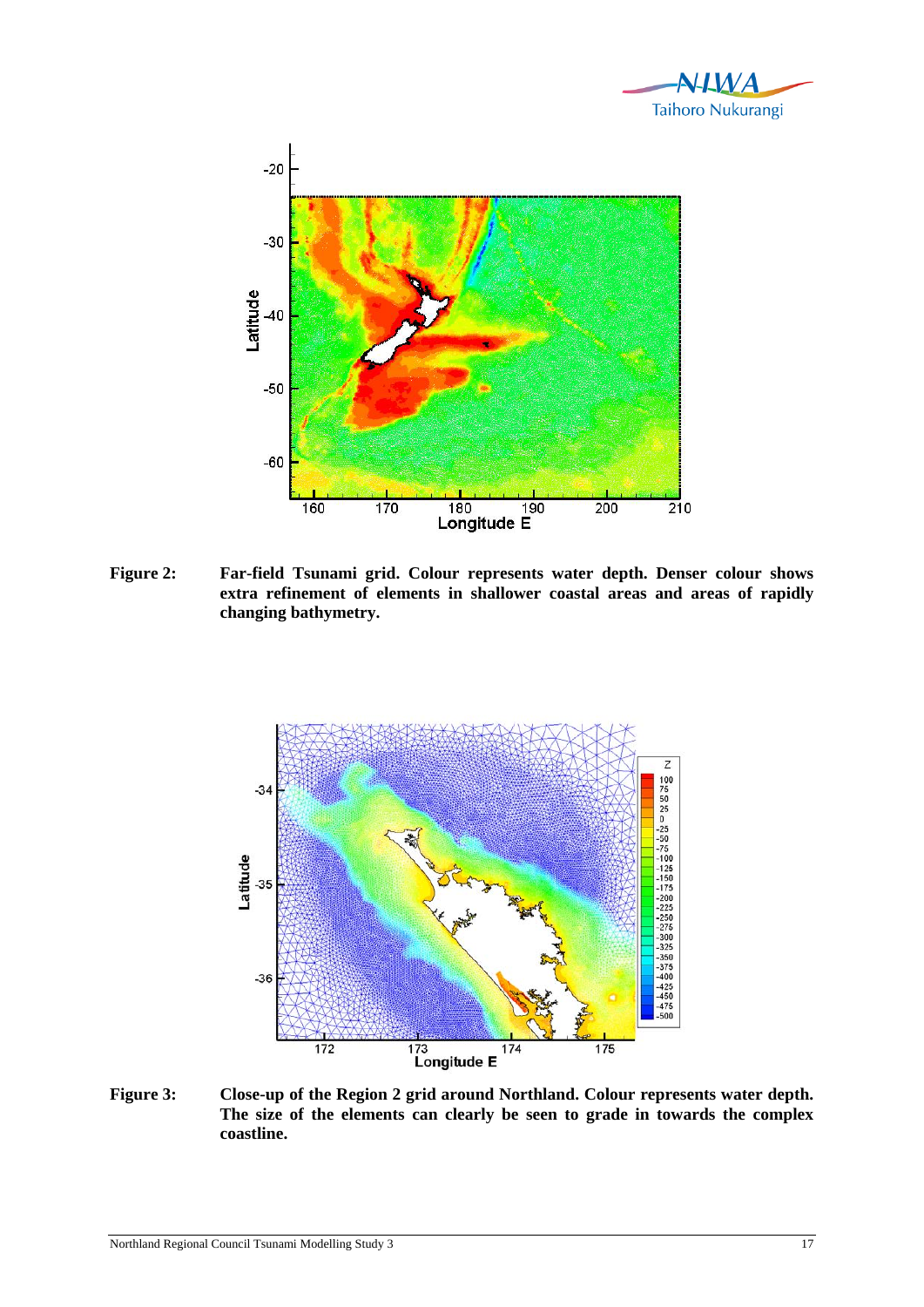



**Figure 2: Far-field Tsunami grid. Colour represents water depth. Denser colour shows extra refinement of elements in shallower coastal areas and areas of rapidly changing bathymetry.** 



**Figure 3: Close-up of the Region 2 grid around Northland. Colour represents water depth. The size of the elements can clearly be seen to grade in towards the complex coastline.**